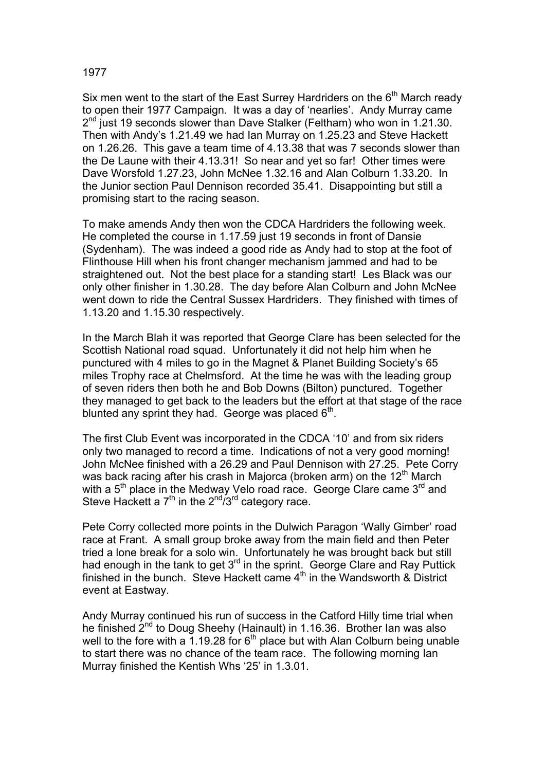## 1977

Six men went to the start of the East Surrey Hardriders on the 6<sup>th</sup> March ready to open their 1977 Campaign. It was a day of 'nearlies'. Andy Murray came  $2<sup>nd</sup>$  just 19 seconds slower than Dave Stalker (Feltham) who won in 1.21.30. Then with Andy's 1.21.49 we had Ian Murray on 1.25.23 and Steve Hackett on 1.26.26. This gave a team time of 4.13.38 that was 7 seconds slower than the De Laune with their 4.13.31! So near and yet so far! Other times were Dave Worsfold 1.27.23, John McNee 1.32.16 and Alan Colburn 1.33.20. In the Junior section Paul Dennison recorded 35.41. Disappointing but still a promising start to the racing season.

To make amends Andy then won the CDCA Hardriders the following week. He completed the course in 1.17.59 just 19 seconds in front of Dansie (Sydenham). The was indeed a good ride as Andy had to stop at the foot of Flinthouse Hill when his front changer mechanism jammed and had to be straightened out. Not the best place for a standing start! Les Black was our only other finisher in 1.30.28. The day before Alan Colburn and John McNee went down to ride the Central Sussex Hardriders. They finished with times of 1.13.20 and 1.15.30 respectively.

In the March Blah it was reported that George Clare has been selected for the Scottish National road squad. Unfortunately it did not help him when he punctured with 4 miles to go in the Magnet & Planet Building Society's 65 miles Trophy race at Chelmsford. At the time he was with the leading group of seven riders then both he and Bob Downs (Bilton) punctured. Together they managed to get back to the leaders but the effort at that stage of the race blunted any sprint they had. George was placed  $6<sup>th</sup>$ .

The first Club Event was incorporated in the CDCA '10' and from six riders only two managed to record a time. Indications of not a very good morning! John McNee finished with a 26.29 and Paul Dennison with 27.25. Pete Corry was back racing after his crash in Majorca (broken arm) on the  $12<sup>th</sup>$  March with a 5<sup>th</sup> place in the Medway Velo road race. George Clare came 3<sup>rd</sup> and Steve Hackett a  $7<sup>th</sup>$  in the  $2<sup>nd</sup>/3<sup>rd</sup>$  category race.

Pete Corry collected more points in the Dulwich Paragon 'Wally Gimber' road race at Frant. A small group broke away from the main field and then Peter tried a lone break for a solo win. Unfortunately he was brought back but still had enough in the tank to get 3<sup>rd</sup> in the sprint. George Clare and Ray Puttick finished in the bunch. Steve Hackett came  $4<sup>th</sup>$  in the Wandsworth & District event at Eastway.

Andy Murray continued his run of success in the Catford Hilly time trial when he finished  $2^{nd}$  to Doug Sheehy (Hainault) in 1.16.36. Brother Ian was also well to the fore with a 1.19.28 for  $6<sup>th</sup>$  place but with Alan Colburn being unable to start there was no chance of the team race. The following morning Ian Murray finished the Kentish Whs '25' in 1.3.01.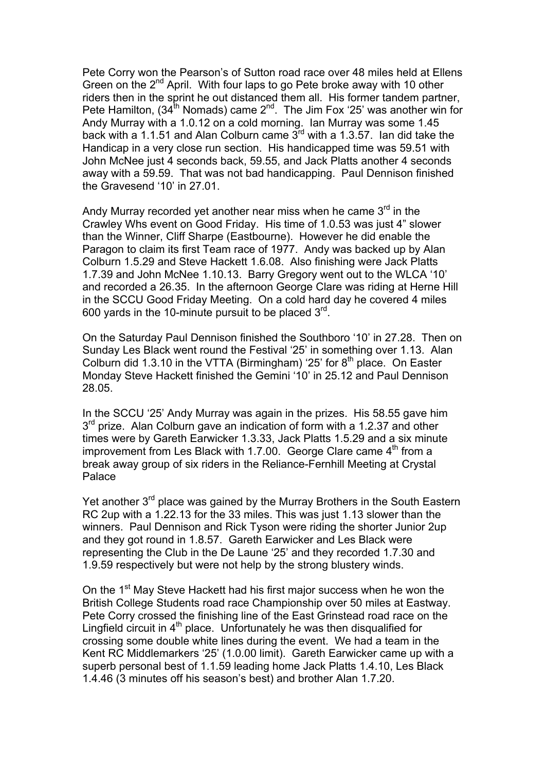Pete Corry won the Pearson's of Sutton road race over 48 miles held at Ellens Green on the 2<sup>nd</sup> April. With four laps to go Pete broke away with 10 other riders then in the sprint he out distanced them all. His former tandem partner, Pete Hamilton, (34<sup>th</sup> Nomads) came  $2^{nd}$ . The Jim Fox '25' was another win for Andy Murray with a 1.0.12 on a cold morning. Ian Murray was some 1.45 back with a 1.1.51 and Alan Colburn came  $3^{rd}$  with a 1.3.57. Ian did take the Handicap in a very close run section. His handicapped time was 59.51 with John McNee just 4 seconds back, 59.55, and Jack Platts another 4 seconds away with a 59.59. That was not bad handicapping. Paul Dennison finished the Gravesend '10' in 27.01.

Andy Murray recorded yet another near miss when he came  $3<sup>rd</sup>$  in the Crawley Whs event on Good Friday. His time of 1.0.53 was just 4" slower than the Winner, Cliff Sharpe (Eastbourne). However he did enable the Paragon to claim its first Team race of 1977. Andy was backed up by Alan Colburn 1.5.29 and Steve Hackett 1.6.08. Also finishing were Jack Platts 1.7.39 and John McNee 1.10.13. Barry Gregory went out to the WLCA '10' and recorded a 26.35. In the afternoon George Clare was riding at Herne Hill in the SCCU Good Friday Meeting. On a cold hard day he covered 4 miles 600 yards in the 10-minute pursuit to be placed  $3<sup>rd</sup>$ .

On the Saturday Paul Dennison finished the Southboro '10' in 27.28. Then on Sunday Les Black went round the Festival '25' in something over 1.13. Alan Colburn did 1.3.10 in the VTTA (Birmingham) '25' for  $8<sup>th</sup>$  place. On Easter Monday Steve Hackett finished the Gemini '10' in 25.12 and Paul Dennison 28.05.

In the SCCU '25' Andy Murray was again in the prizes. His 58.55 gave him  $3<sup>rd</sup>$  prize. Alan Colburn gave an indication of form with a 1.2.37 and other times were by Gareth Earwicker 1.3.33, Jack Platts 1.5.29 and a six minute improvement from Les Black with 1.7.00. George Clare came  $4<sup>th</sup>$  from a break away group of six riders in the Reliance-Fernhill Meeting at Crystal Palace

Yet another 3<sup>rd</sup> place was gained by the Murray Brothers in the South Eastern RC 2up with a 1.22.13 for the 33 miles. This was just 1.13 slower than the winners. Paul Dennison and Rick Tyson were riding the shorter Junior 2up and they got round in 1.8.57. Gareth Earwicker and Les Black were representing the Club in the De Laune '25' and they recorded 1.7.30 and 1.9.59 respectively but were not help by the strong blustery winds.

On the 1<sup>st</sup> May Steve Hackett had his first major success when he won the British College Students road race Championship over 50 miles at Eastway. Pete Corry crossed the finishing line of the East Grinstead road race on the Lingfield circuit in  $4<sup>th</sup>$  place. Unfortunately he was then disqualified for crossing some double white lines during the event. We had a team in the Kent RC Middlemarkers '25' (1.0.00 limit). Gareth Earwicker came up with a superb personal best of 1.1.59 leading home Jack Platts 1.4.10, Les Black 1.4.46 (3 minutes off his season's best) and brother Alan 1.7.20.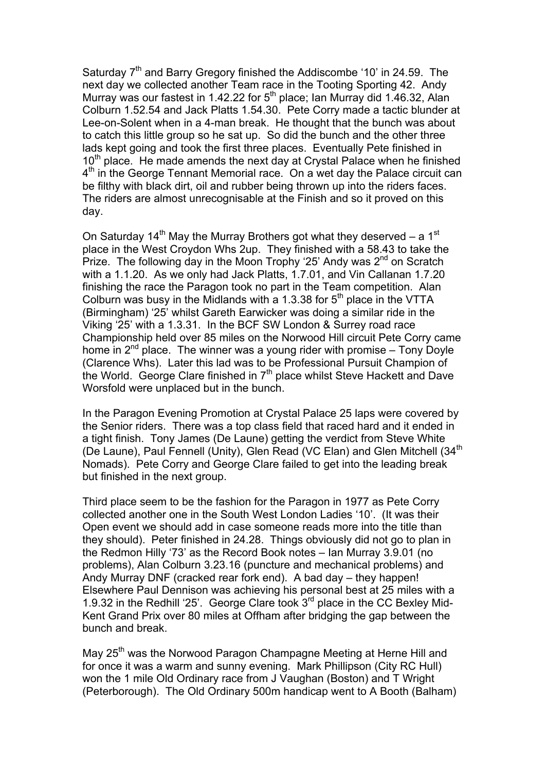Saturday  $7<sup>th</sup>$  and Barry Gregory finished the Addiscombe '10' in 24.59. The next day we collected another Team race in the Tooting Sporting 42. Andy Murray was our fastest in 1.42.22 for 5<sup>th</sup> place; Ian Murray did 1.46.32, Alan Colburn 1.52.54 and Jack Platts 1.54.30. Pete Corry made a tactic blunder at Lee-on-Solent when in a 4-man break. He thought that the bunch was about to catch this little group so he sat up. So did the bunch and the other three lads kept going and took the first three places. Eventually Pete finished in 10<sup>th</sup> place. He made amends the next day at Crystal Palace when he finished 4<sup>th</sup> in the George Tennant Memorial race. On a wet day the Palace circuit can be filthy with black dirt, oil and rubber being thrown up into the riders faces. The riders are almost unrecognisable at the Finish and so it proved on this day.

On Saturday 14<sup>th</sup> May the Murray Brothers got what they deserved – a 1<sup>st</sup> place in the West Croydon Whs 2up. They finished with a 58.43 to take the Prize. The following day in the Moon Trophy '25' Andy was  $2<sup>nd</sup>$  on Scratch with a 1.1.20. As we only had Jack Platts, 1.7.01, and Vin Callanan 1.7.20 finishing the race the Paragon took no part in the Team competition. Alan Colburn was busy in the Midlands with a 1.3.38 for  $5<sup>th</sup>$  place in the VTTA (Birmingham) '25' whilst Gareth Earwicker was doing a similar ride in the Viking '25' with a 1.3.31. In the BCF SW London & Surrey road race Championship held over 85 miles on the Norwood Hill circuit Pete Corry came home in  $2^{nd}$  place. The winner was a young rider with promise – Tony Doyle (Clarence Whs). Later this lad was to be Professional Pursuit Champion of the World. George Clare finished in  $7<sup>th</sup>$  place whilst Steve Hackett and Dave Worsfold were unplaced but in the bunch.

In the Paragon Evening Promotion at Crystal Palace 25 laps were covered by the Senior riders. There was a top class field that raced hard and it ended in a tight finish. Tony James (De Laune) getting the verdict from Steve White (De Laune), Paul Fennell (Unity), Glen Read (VC Elan) and Glen Mitchell (34<sup>th</sup> Nomads). Pete Corry and George Clare failed to get into the leading break but finished in the next group.

Third place seem to be the fashion for the Paragon in 1977 as Pete Corry collected another one in the South West London Ladies '10'. (It was their Open event we should add in case someone reads more into the title than they should). Peter finished in 24.28. Things obviously did not go to plan in the Redmon Hilly '73' as the Record Book notes – Ian Murray 3.9.01 (no problems), Alan Colburn 3.23.16 (puncture and mechanical problems) and Andy Murray DNF (cracked rear fork end). A bad day – they happen! Elsewhere Paul Dennison was achieving his personal best at 25 miles with a 1.9.32 in the Redhill '25'. George Clare took  $3^{rd}$  place in the CC Bexley Mid-Kent Grand Prix over 80 miles at Offham after bridging the gap between the bunch and break.

May 25<sup>th</sup> was the Norwood Paragon Champagne Meeting at Herne Hill and for once it was a warm and sunny evening. Mark Phillipson (City RC Hull) won the 1 mile Old Ordinary race from J Vaughan (Boston) and T Wright (Peterborough). The Old Ordinary 500m handicap went to A Booth (Balham)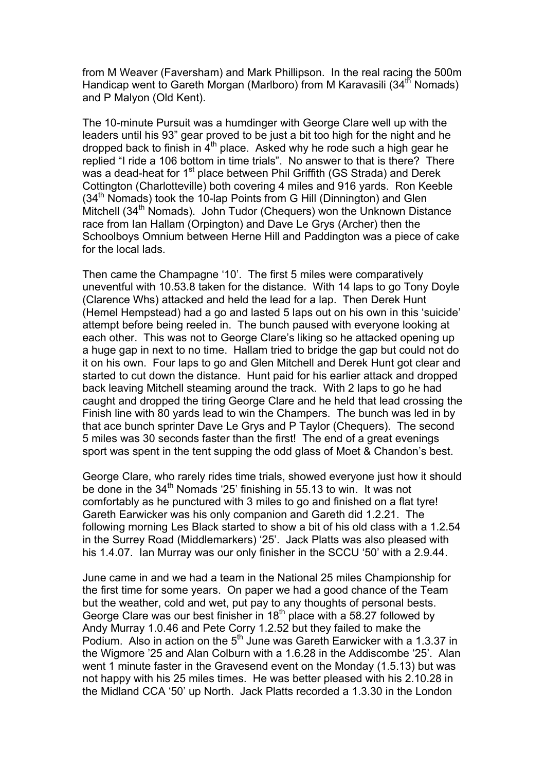from M Weaver (Faversham) and Mark Phillipson. In the real racing the 500m Handicap went to Gareth Morgan (Marlboro) from M Karavasili (34<sup>th</sup> Nomads) and P Malyon (Old Kent).

The 10-minute Pursuit was a humdinger with George Clare well up with the leaders until his 93" gear proved to be just a bit too high for the night and he dropped back to finish in  $4<sup>th</sup>$  place. Asked why he rode such a high gear he replied "I ride a 106 bottom in time trials". No answer to that is there? There was a dead-heat for 1<sup>st</sup> place between Phil Griffith (GS Strada) and Derek Cottington (Charlotteville) both covering 4 miles and 916 yards. Ron Keeble  $(34<sup>th</sup>$  Nomads) took the 10-lap Points from G Hill (Dinnington) and Glen Mitchell (34<sup>th</sup> Nomads). John Tudor (Chequers) won the Unknown Distance race from Ian Hallam (Orpington) and Dave Le Grys (Archer) then the Schoolboys Omnium between Herne Hill and Paddington was a piece of cake for the local lads.

Then came the Champagne '10'. The first 5 miles were comparatively uneventful with 10.53.8 taken for the distance. With 14 laps to go Tony Doyle (Clarence Whs) attacked and held the lead for a lap. Then Derek Hunt (Hemel Hempstead) had a go and lasted 5 laps out on his own in this 'suicide' attempt before being reeled in. The bunch paused with everyone looking at each other. This was not to George Clare's liking so he attacked opening up a huge gap in next to no time. Hallam tried to bridge the gap but could not do it on his own. Four laps to go and Glen Mitchell and Derek Hunt got clear and started to cut down the distance. Hunt paid for his earlier attack and dropped back leaving Mitchell steaming around the track. With 2 laps to go he had caught and dropped the tiring George Clare and he held that lead crossing the Finish line with 80 yards lead to win the Champers. The bunch was led in by that ace bunch sprinter Dave Le Grys and P Taylor (Chequers). The second 5 miles was 30 seconds faster than the first! The end of a great evenings sport was spent in the tent supping the odd glass of Moet & Chandon's best.

George Clare, who rarely rides time trials, showed everyone just how it should be done in the  $34<sup>th</sup>$  Nomads '25' finishing in 55.13 to win. It was not comfortably as he punctured with 3 miles to go and finished on a flat tyre! Gareth Earwicker was his only companion and Gareth did 1.2.21. The following morning Les Black started to show a bit of his old class with a 1.2.54 in the Surrey Road (Middlemarkers) '25'. Jack Platts was also pleased with his 1.4.07. Ian Murray was our only finisher in the SCCU '50' with a 2.9.44.

June came in and we had a team in the National 25 miles Championship for the first time for some years. On paper we had a good chance of the Team but the weather, cold and wet, put pay to any thoughts of personal bests. George Clare was our best finisher in 18<sup>th</sup> place with a 58.27 followed by Andy Murray 1.0.46 and Pete Corry 1.2.52 but they failed to make the Podium. Also in action on the  $5<sup>th</sup>$  June was Gareth Earwicker with a 1.3.37 in the Wigmore '25 and Alan Colburn with a 1.6.28 in the Addiscombe '25'. Alan went 1 minute faster in the Gravesend event on the Monday (1.5.13) but was not happy with his 25 miles times. He was better pleased with his 2.10.28 in the Midland CCA '50' up North. Jack Platts recorded a 1.3.30 in the London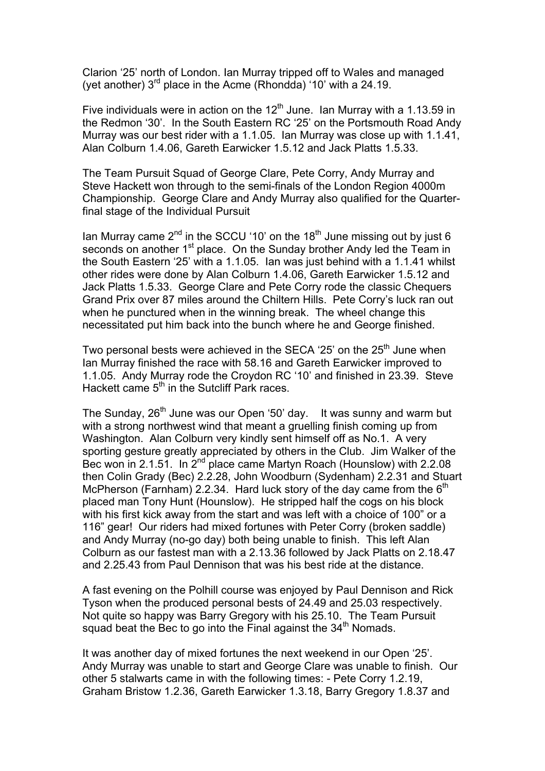Clarion '25' north of London. Ian Murray tripped off to Wales and managed (yet another)  $3<sup>rd</sup>$  place in the Acme (Rhondda) '10' with a 24.19.

Five individuals were in action on the  $12<sup>th</sup>$  June. Ian Murray with a 1.13.59 in the Redmon '30'. In the South Eastern RC '25' on the Portsmouth Road Andy Murray was our best rider with a 1.1.05. Ian Murray was close up with 1.1.41, Alan Colburn 1.4.06, Gareth Earwicker 1.5.12 and Jack Platts 1.5.33.

The Team Pursuit Squad of George Clare, Pete Corry, Andy Murray and Steve Hackett won through to the semi-finals of the London Region 4000m Championship. George Clare and Andy Murray also qualified for the Quarterfinal stage of the Individual Pursuit

Ian Murray came  $2^{nd}$  in the SCCU '10' on the 18<sup>th</sup> June missing out by just 6 seconds on another  $1<sup>st</sup>$  place. On the Sunday brother Andy led the Team in the South Eastern '25' with a 1.1.05. Ian was just behind with a 1.1.41 whilst other rides were done by Alan Colburn 1.4.06, Gareth Earwicker 1.5.12 and Jack Platts 1.5.33. George Clare and Pete Corry rode the classic Chequers Grand Prix over 87 miles around the Chiltern Hills. Pete Corry's luck ran out when he punctured when in the winning break. The wheel change this necessitated put him back into the bunch where he and George finished.

Two personal bests were achieved in the SECA '25' on the 25<sup>th</sup> June when Ian Murray finished the race with 58.16 and Gareth Earwicker improved to 1.1.05. Andy Murray rode the Croydon RC '10' and finished in 23.39. Steve Hackett came 5<sup>th</sup> in the Sutcliff Park races.

The Sunday, 26<sup>th</sup> June was our Open '50' day. It was sunny and warm but with a strong northwest wind that meant a gruelling finish coming up from Washington. Alan Colburn very kindly sent himself off as No.1. A very sporting gesture greatly appreciated by others in the Club. Jim Walker of the Bec won in 2.1.51. In 2<sup>nd</sup> place came Martyn Roach (Hounslow) with 2.2.08 then Colin Grady (Bec) 2.2.28, John Woodburn (Sydenham) 2.2.31 and Stuart McPherson (Farnham) 2.2.34. Hard luck story of the day came from the  $6<sup>th</sup>$ placed man Tony Hunt (Hounslow). He stripped half the cogs on his block with his first kick away from the start and was left with a choice of 100" or a 116" gear! Our riders had mixed fortunes with Peter Corry (broken saddle) and Andy Murray (no-go day) both being unable to finish. This left Alan Colburn as our fastest man with a 2.13.36 followed by Jack Platts on 2.18.47 and 2.25.43 from Paul Dennison that was his best ride at the distance.

A fast evening on the Polhill course was enjoyed by Paul Dennison and Rick Tyson when the produced personal bests of 24.49 and 25.03 respectively. Not quite so happy was Barry Gregory with his 25.10. The Team Pursuit squad beat the Bec to go into the Final against the 34<sup>th</sup> Nomads.

It was another day of mixed fortunes the next weekend in our Open '25'. Andy Murray was unable to start and George Clare was unable to finish. Our other 5 stalwarts came in with the following times: - Pete Corry 1.2.19, Graham Bristow 1.2.36, Gareth Earwicker 1.3.18, Barry Gregory 1.8.37 and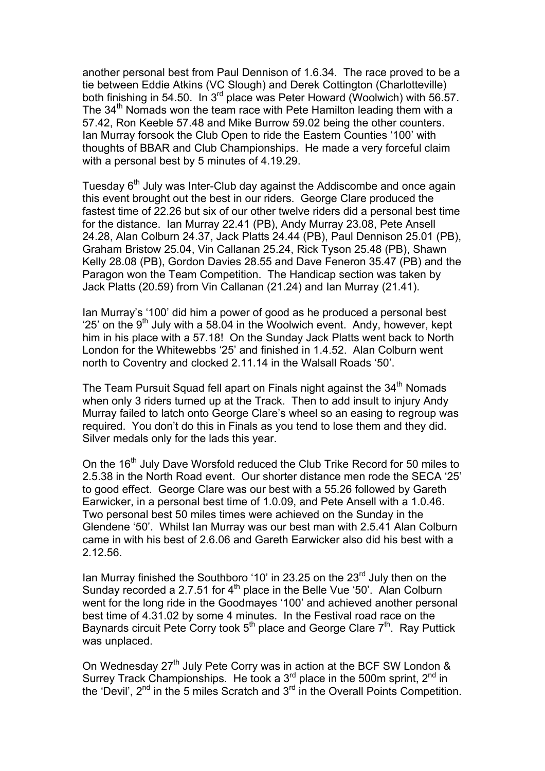another personal best from Paul Dennison of 1.6.34. The race proved to be a tie between Eddie Atkins (VC Slough) and Derek Cottington (Charlotteville) both finishing in 54.50. In  $3^{rd}$  place was Peter Howard (Woolwich) with 56.57. The  $34<sup>th</sup>$  Nomads won the team race with Pete Hamilton leading them with a 57.42, Ron Keeble 57.48 and Mike Burrow 59.02 being the other counters. Ian Murray forsook the Club Open to ride the Eastern Counties '100' with thoughts of BBAR and Club Championships. He made a very forceful claim with a personal best by 5 minutes of 4.19.29.

Tuesday  $6<sup>th</sup>$  July was Inter-Club day against the Addiscombe and once again this event brought out the best in our riders. George Clare produced the fastest time of 22.26 but six of our other twelve riders did a personal best time for the distance. Ian Murray 22.41 (PB), Andy Murray 23.08, Pete Ansell 24.28, Alan Colburn 24.37, Jack Platts 24.44 (PB), Paul Dennison 25.01 (PB), Graham Bristow 25.04, Vin Callanan 25.24, Rick Tyson 25.48 (PB), Shawn Kelly 28.08 (PB), Gordon Davies 28.55 and Dave Feneron 35.47 (PB) and the Paragon won the Team Competition. The Handicap section was taken by Jack Platts (20.59) from Vin Callanan (21.24) and Ian Murray (21.41).

Ian Murray's '100' did him a power of good as he produced a personal best '25' on the  $9<sup>th</sup>$  July with a 58.04 in the Woolwich event. Andy, however, kept him in his place with a 57.18! On the Sunday Jack Platts went back to North London for the Whitewebbs '25' and finished in 1.4.52. Alan Colburn went north to Coventry and clocked 2.11.14 in the Walsall Roads '50'.

The Team Pursuit Squad fell apart on Finals night against the 34<sup>th</sup> Nomads when only 3 riders turned up at the Track. Then to add insult to injury Andy Murray failed to latch onto George Clare's wheel so an easing to regroup was required. You don't do this in Finals as you tend to lose them and they did. Silver medals only for the lads this year.

On the 16<sup>th</sup> July Dave Worsfold reduced the Club Trike Record for 50 miles to 2.5.38 in the North Road event. Our shorter distance men rode the SECA '25' to good effect. George Clare was our best with a 55.26 followed by Gareth Earwicker, in a personal best time of 1.0.09, and Pete Ansell with a 1.0.46. Two personal best 50 miles times were achieved on the Sunday in the Glendene '50'. Whilst Ian Murray was our best man with 2.5.41 Alan Colburn came in with his best of 2.6.06 and Gareth Earwicker also did his best with a 2.12.56.

Ian Murray finished the Southboro '10' in 23.25 on the 23<sup>rd</sup> July then on the Sunday recorded a 2.7.51 for  $4<sup>th</sup>$  place in the Belle Vue '50'. Alan Colburn went for the long ride in the Goodmayes '100' and achieved another personal best time of 4.31.02 by some 4 minutes. In the Festival road race on the Baynards circuit Pete Corry took  $5<sup>th</sup>$  place and George Clare  $7<sup>th</sup>$ . Ray Puttick was unplaced.

On Wednesday 27<sup>th</sup> July Pete Corry was in action at the BCF SW London & Surrey Track Championships. He took a 3<sup>rd</sup> place in the 500m sprint, 2<sup>nd</sup> in the 'Devil',  $2^{nd}$  in the 5 miles Scratch and  $3^{rd}$  in the Overall Points Competition.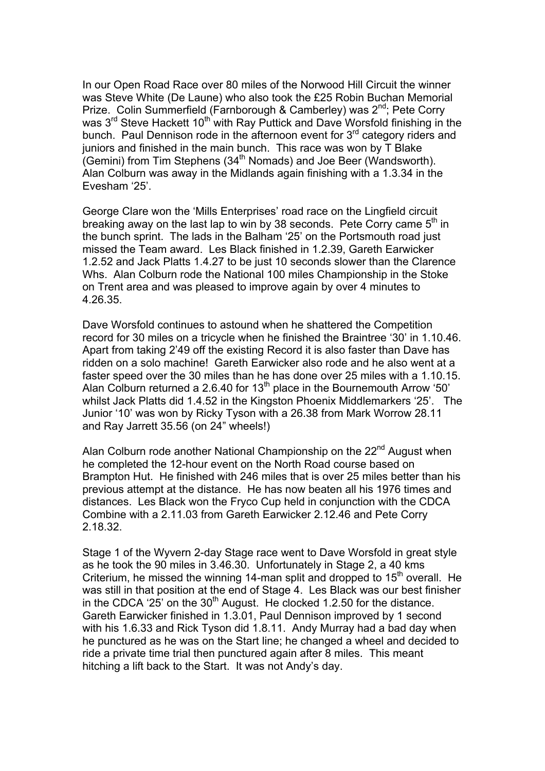In our Open Road Race over 80 miles of the Norwood Hill Circuit the winner was Steve White (De Laune) who also took the £25 Robin Buchan Memorial Prize. Colin Summerfield (Farnborough & Camberley) was 2<sup>nd</sup>; Pete Corry was 3<sup>rd</sup> Steve Hackett 10<sup>th</sup> with Ray Puttick and Dave Worsfold finishing in the bunch. Paul Dennison rode in the afternoon event for  $3<sup>rd</sup>$  category riders and juniors and finished in the main bunch. This race was won by T Blake (Gemini) from Tim Stephens (34th Nomads) and Joe Beer (Wandsworth). Alan Colburn was away in the Midlands again finishing with a 1.3.34 in the Evesham '25'.

George Clare won the 'Mills Enterprises' road race on the Lingfield circuit breaking away on the last lap to win by 38 seconds. Pete Corry came  $5<sup>th</sup>$  in the bunch sprint. The lads in the Balham '25' on the Portsmouth road just missed the Team award. Les Black finished in 1.2.39, Gareth Earwicker 1.2.52 and Jack Platts 1.4.27 to be just 10 seconds slower than the Clarence Whs. Alan Colburn rode the National 100 miles Championship in the Stoke on Trent area and was pleased to improve again by over 4 minutes to 4.26.35.

Dave Worsfold continues to astound when he shattered the Competition record for 30 miles on a tricycle when he finished the Braintree '30' in 1.10.46. Apart from taking 2'49 off the existing Record it is also faster than Dave has ridden on a solo machine! Gareth Earwicker also rode and he also went at a faster speed over the 30 miles than he has done over 25 miles with a 1.10.15. Alan Colburn returned a 2.6.40 for  $13<sup>th</sup>$  place in the Bournemouth Arrow '50' whilst Jack Platts did 1.4.52 in the Kingston Phoenix Middlemarkers '25'. The Junior '10' was won by Ricky Tyson with a 26.38 from Mark Worrow 28.11 and Ray Jarrett 35.56 (on 24" wheels!)

Alan Colburn rode another National Championship on the 22<sup>nd</sup> August when he completed the 12-hour event on the North Road course based on Brampton Hut. He finished with 246 miles that is over 25 miles better than his previous attempt at the distance. He has now beaten all his 1976 times and distances. Les Black won the Fryco Cup held in conjunction with the CDCA Combine with a 2.11.03 from Gareth Earwicker 2.12.46 and Pete Corry 2.18.32.

Stage 1 of the Wyvern 2-day Stage race went to Dave Worsfold in great style as he took the 90 miles in 3.46.30. Unfortunately in Stage 2, a 40 kms Criterium, he missed the winning 14-man split and dropped to  $15<sup>th</sup>$  overall. He was still in that position at the end of Stage 4. Les Black was our best finisher in the CDCA '25' on the  $30<sup>th</sup>$  August. He clocked 1.2.50 for the distance. Gareth Earwicker finished in 1.3.01, Paul Dennison improved by 1 second with his 1.6.33 and Rick Tyson did 1.8.11. Andy Murray had a bad day when he punctured as he was on the Start line; he changed a wheel and decided to ride a private time trial then punctured again after 8 miles. This meant hitching a lift back to the Start. It was not Andy's day.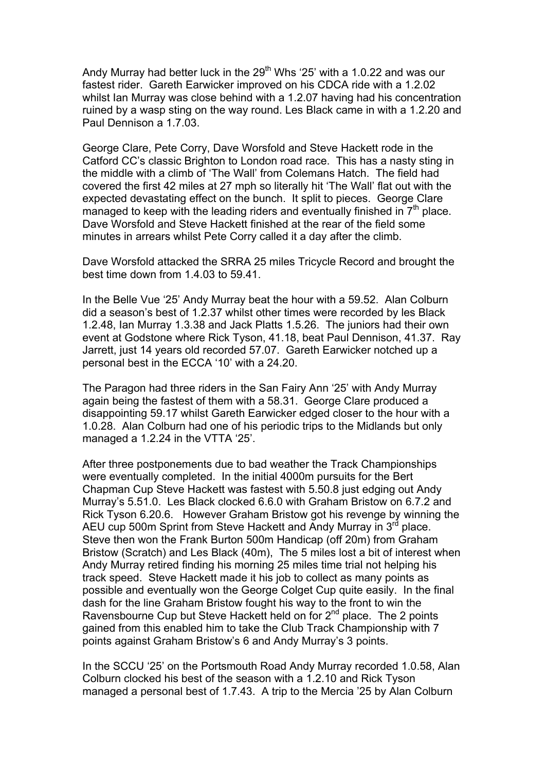Andy Murray had better luck in the  $29<sup>th</sup>$  Whs '25' with a 1.0.22 and was our fastest rider. Gareth Earwicker improved on his CDCA ride with a 1.2.02 whilst Ian Murray was close behind with a 1.2.07 having had his concentration ruined by a wasp sting on the way round. Les Black came in with a 1.2.20 and Paul Dennison a 1.7.03.

George Clare, Pete Corry, Dave Worsfold and Steve Hackett rode in the Catford CC's classic Brighton to London road race. This has a nasty sting in the middle with a climb of 'The Wall' from Colemans Hatch. The field had covered the first 42 miles at 27 mph so literally hit 'The Wall' flat out with the expected devastating effect on the bunch. It split to pieces. George Clare managed to keep with the leading riders and eventually finished in  $7<sup>th</sup>$  place. Dave Worsfold and Steve Hackett finished at the rear of the field some minutes in arrears whilst Pete Corry called it a day after the climb.

Dave Worsfold attacked the SRRA 25 miles Tricycle Record and brought the best time down from 1.4.03 to 59.41.

In the Belle Vue '25' Andy Murray beat the hour with a 59.52. Alan Colburn did a season's best of 1.2.37 whilst other times were recorded by les Black 1.2.48, Ian Murray 1.3.38 and Jack Platts 1.5.26. The juniors had their own event at Godstone where Rick Tyson, 41.18, beat Paul Dennison, 41.37. Ray Jarrett, just 14 years old recorded 57.07. Gareth Earwicker notched up a personal best in the ECCA '10' with a 24.20.

The Paragon had three riders in the San Fairy Ann '25' with Andy Murray again being the fastest of them with a 58.31. George Clare produced a disappointing 59.17 whilst Gareth Earwicker edged closer to the hour with a 1.0.28. Alan Colburn had one of his periodic trips to the Midlands but only managed a 1.2.24 in the VTTA '25'.

After three postponements due to bad weather the Track Championships were eventually completed. In the initial 4000m pursuits for the Bert Chapman Cup Steve Hackett was fastest with 5.50.8 just edging out Andy Murray's 5.51.0. Les Black clocked 6.6.0 with Graham Bristow on 6.7.2 and Rick Tyson 6.20.6. However Graham Bristow got his revenge by winning the AEU cup 500m Sprint from Steve Hackett and Andy Murray in 3<sup>rd</sup> place. Steve then won the Frank Burton 500m Handicap (off 20m) from Graham Bristow (Scratch) and Les Black (40m), The 5 miles lost a bit of interest when Andy Murray retired finding his morning 25 miles time trial not helping his track speed. Steve Hackett made it his job to collect as many points as possible and eventually won the George Colget Cup quite easily. In the final dash for the line Graham Bristow fought his way to the front to win the Ravensbourne Cup but Steve Hackett held on for  $2^{nd}$  place. The 2 points gained from this enabled him to take the Club Track Championship with 7 points against Graham Bristow's 6 and Andy Murray's 3 points.

In the SCCU '25' on the Portsmouth Road Andy Murray recorded 1.0.58, Alan Colburn clocked his best of the season with a 1.2.10 and Rick Tyson managed a personal best of 1.7.43. A trip to the Mercia '25 by Alan Colburn